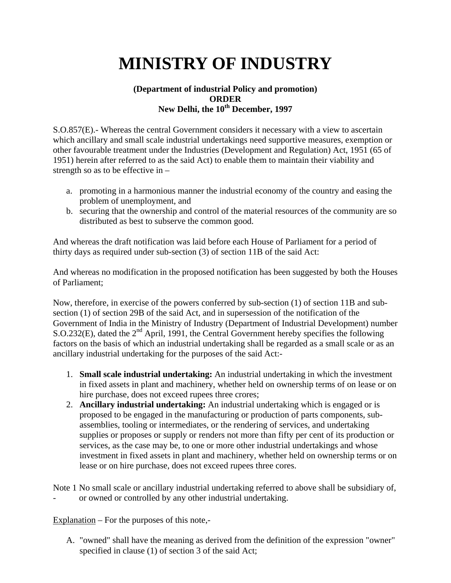## **MINISTRY OF INDUSTRY**

## **(Department of industrial Policy and promotion) ORDER New Delhi, the 10th December, 1997**

S.O.857(E).- Whereas the central Government considers it necessary with a view to ascertain which ancillary and small scale industrial undertakings need supportive measures, exemption or other favourable treatment under the Industries (Development and Regulation) Act, 1951 (65 of 1951) herein after referred to as the said Act) to enable them to maintain their viability and strength so as to be effective in  $-$ 

- a. promoting in a harmonious manner the industrial economy of the country and easing the problem of unemployment, and
- b. securing that the ownership and control of the material resources of the community are so distributed as best to subserve the common good.

And whereas the draft notification was laid before each House of Parliament for a period of thirty days as required under sub-section (3) of section 11B of the said Act:

And whereas no modification in the proposed notification has been suggested by both the Houses of Parliament;

Now, therefore, in exercise of the powers conferred by sub-section (1) of section 11B and subsection (1) of section 29B of the said Act, and in supersession of the notification of the Government of India in the Ministry of Industry (Department of Industrial Development) number S.O.232(E), dated the  $2<sup>nd</sup>$  April, 1991, the Central Government hereby specifies the following factors on the basis of which an industrial undertaking shall be regarded as a small scale or as an ancillary industrial undertaking for the purposes of the said Act:-

- 1. **Small scale industrial undertaking:** An industrial undertaking in which the investment in fixed assets in plant and machinery, whether held on ownership terms of on lease or on hire purchase, does not exceed rupees three crores;
- 2. **Ancillary industrial undertaking:** An industrial undertaking which is engaged or is proposed to be engaged in the manufacturing or production of parts components, subassemblies, tooling or intermediates, or the rendering of services, and undertaking supplies or proposes or supply or renders not more than fifty per cent of its production or services, as the case may be, to one or more other industrial undertakings and whose investment in fixed assets in plant and machinery, whether held on ownership terms or on lease or on hire purchase, does not exceed rupees three cores.

Note 1 No small scale or ancillary industrial undertaking referred to above shall be subsidiary of, or owned or controlled by any other industrial undertaking.

Explanation – For the purposes of this note,-

A. "owned" shall have the meaning as derived from the definition of the expression "owner" specified in clause (1) of section 3 of the said Act;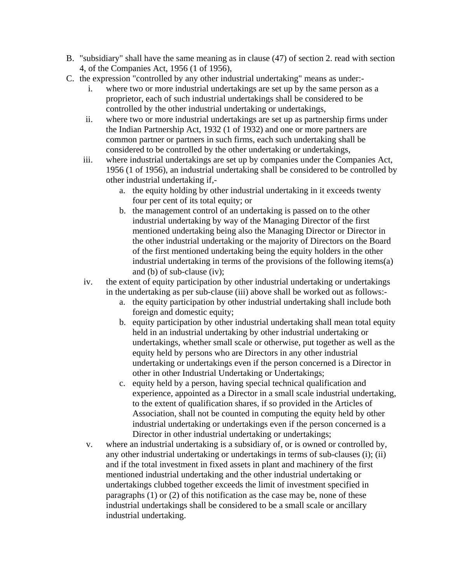- B. "subsidiary" shall have the same meaning as in clause (47) of section 2. read with section 4, of the Companies Act, 1956 (1 of 1956),
- C. the expression "controlled by any other industrial undertaking" means as under:
	- i. where two or more industrial undertakings are set up by the same person as a proprietor, each of such industrial undertakings shall be considered to be controlled by the other industrial undertaking or undertakings,
	- ii. where two or more industrial undertakings are set up as partnership firms under the Indian Partnership Act, 1932 (1 of 1932) and one or more partners are common partner or partners in such firms, each such undertaking shall be considered to be controlled by the other undertaking or undertakings,
	- iii. where industrial undertakings are set up by companies under the Companies Act, 1956 (1 of 1956), an industrial undertaking shall be considered to be controlled by other industrial undertaking if,
		- a. the equity holding by other industrial undertaking in it exceeds twenty four per cent of its total equity; or
		- b. the management control of an undertaking is passed on to the other industrial undertaking by way of the Managing Director of the first mentioned undertaking being also the Managing Director or Director in the other industrial undertaking or the majority of Directors on the Board of the first mentioned undertaking being the equity holders in the other industrial undertaking in terms of the provisions of the following items(a) and (b) of sub-clause (iv);
	- iv. the extent of equity participation by other industrial undertaking or undertakings in the undertaking as per sub-clause (iii) above shall be worked out as follows:
		- a. the equity participation by other industrial undertaking shall include both foreign and domestic equity;
		- b. equity participation by other industrial undertaking shall mean total equity held in an industrial undertaking by other industrial undertaking or undertakings, whether small scale or otherwise, put together as well as the equity held by persons who are Directors in any other industrial undertaking or undertakings even if the person concerned is a Director in other in other Industrial Undertaking or Undertakings;
		- c. equity held by a person, having special technical qualification and experience, appointed as a Director in a small scale industrial undertaking, to the extent of qualification shares, if so provided in the Articles of Association, shall not be counted in computing the equity held by other industrial undertaking or undertakings even if the person concerned is a Director in other industrial undertaking or undertakings;
	- v. where an industrial undertaking is a subsidiary of, or is owned or controlled by, any other industrial undertaking or undertakings in terms of sub-clauses (i); (ii) and if the total investment in fixed assets in plant and machinery of the first mentioned industrial undertaking and the other industrial undertaking or undertakings clubbed together exceeds the limit of investment specified in paragraphs (1) or (2) of this notification as the case may be, none of these industrial undertakings shall be considered to be a small scale or ancillary industrial undertaking.